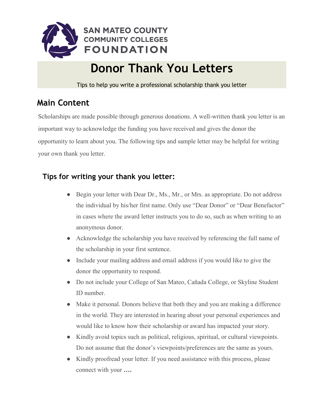

# **Donor Thank You Letters**

Tips to help you write a professional scholarship thank you letter

## **Main Content**

Scholarships are made possible through generous donations. A well-written thank you letter is an important way to acknowledge the funding you have received and gives the donor the opportunity to learn about you. The following tips and sample letter may be helpful for writing your own thank you letter.

## **Tips for writing your thank you letter:**

- Begin your letter with Dear Dr., Ms., Mr., or Mrs. as appropriate. Do not address the individual by his/her first name. Only use "Dear Donor" or "Dear Benefactor" in cases where the award letter instructs you to do so, such as when writing to an anonymous donor.
- Acknowledge the scholarship you have received by referencing the full name of the scholarship in your first sentence.
- Include your mailing address and email address if you would like to give the donor the opportunity to respond.
- Do not include your College of San Mateo, Cañada College, or Skyline Student ID number.
- Make it personal. Donors believe that both they and you are making a difference in the world. They are interested in hearing about your personal experiences and would like to know how their scholarship or award has impacted your story.
- Kindly avoid topics such as political, religious, spiritual, or cultural viewpoints. Do not assume that the donor's viewpoints/preferences are the same as yours.
- Kindly proofread your letter. If you need assistance with this process, please connect with your **….**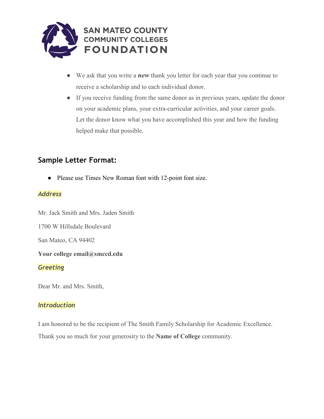

- We ask that you write a *new* thank you letter for each year that you continue to receive a scholarship and to each individual donor.
- If you receive funding from the same donor as in previous years, update the donor on your academic plans, your extra-curricular activities, and your career goals. Let the donor know what you have accomplished this year and how the funding helped make that possible.

### **Sample Letter Format:**

● Please use Times New Roman font with 12-point font size.

#### *Address*

Mr. Jack Smith and Mrs. Jaden Smith

1700 W Hillsdale Boulevard

San Mateo, CA 94402

#### **Your college email@smccd.edu**

#### *Greeting*

Dear Mr. and Mrs. Smith,

#### *Introduction*

I am honored to be the recipient of The Smith Family Scholarship for Academic Excellence. Thank you so much for your generosity to the **Name of College** community.